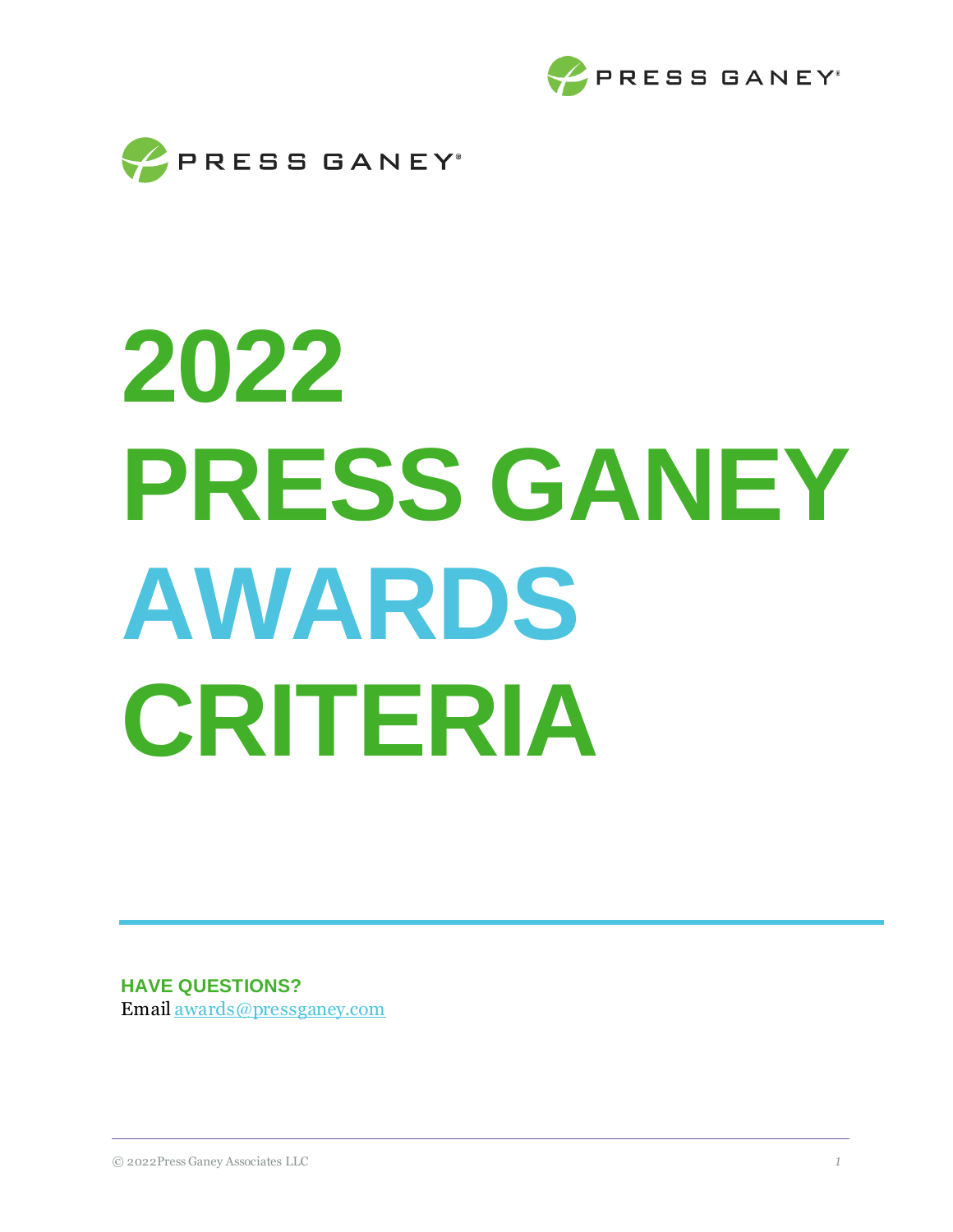



# **2022 PRESS GANEY AWARDS CRITERIA**

**HAVE QUESTIONS?** Email [awards@pressganey.com](mailto:awards@pressganey.com)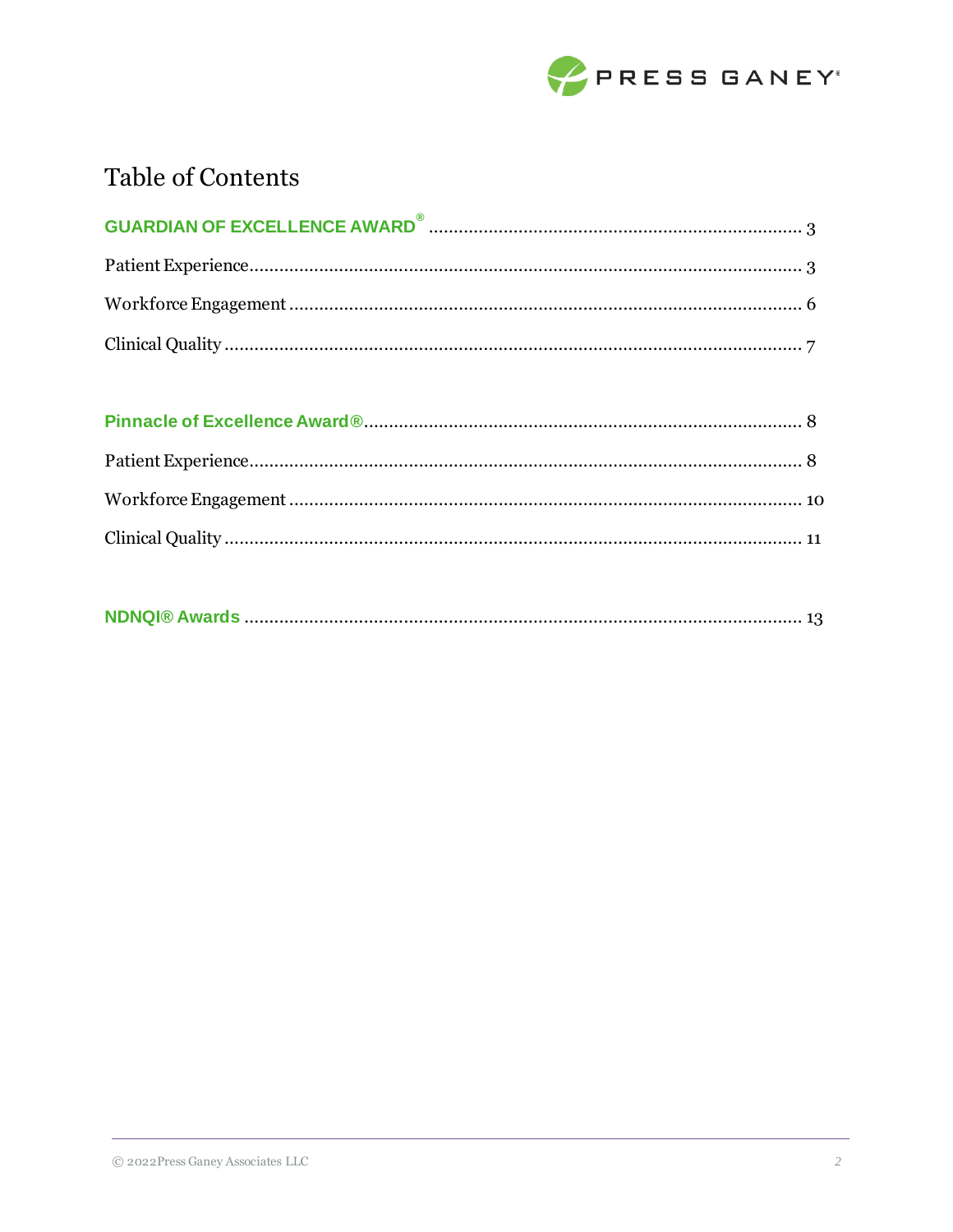

# **Table of Contents**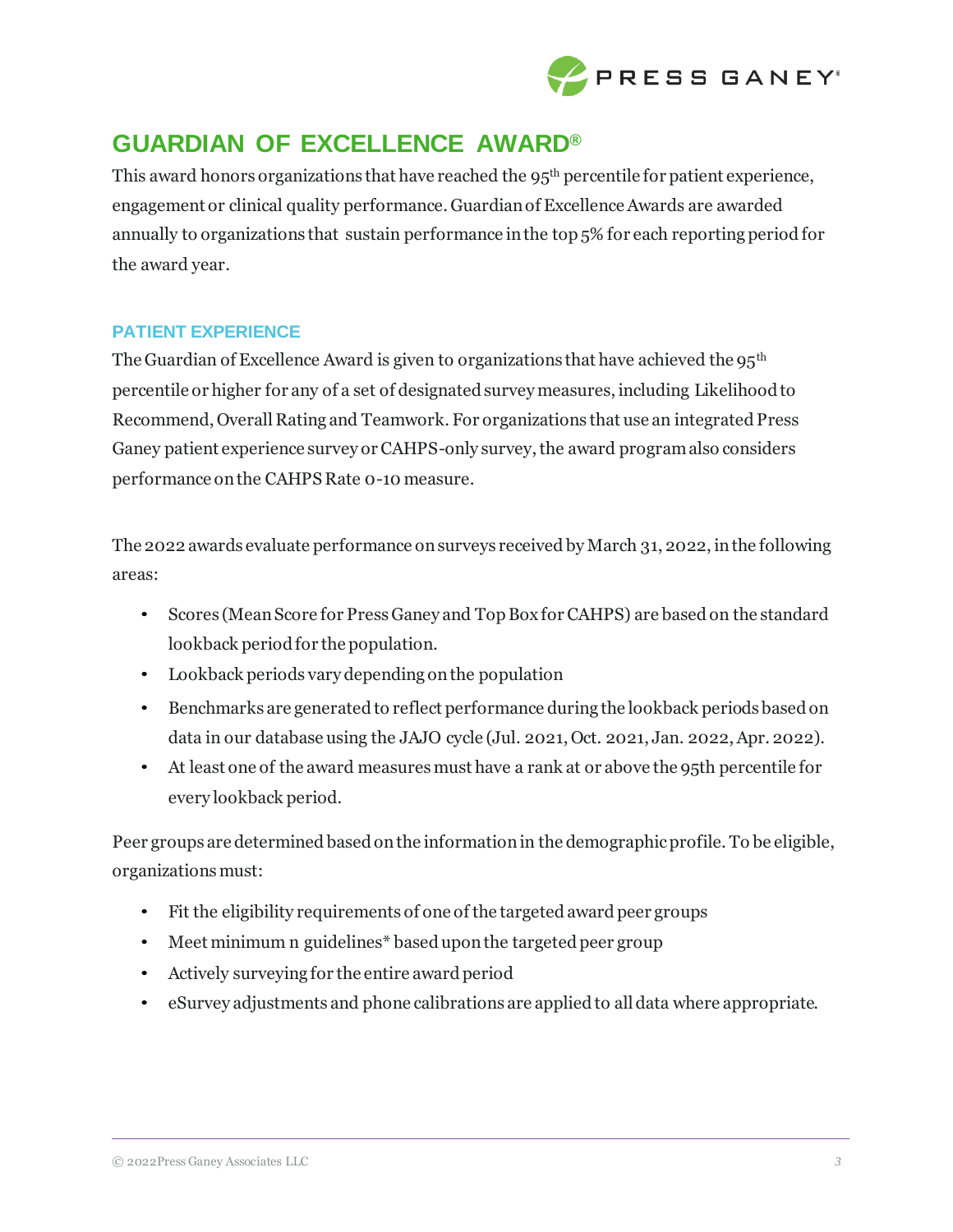

# **GUARDIAN OF EXCELLENCE AWARD®**

This award honors organizations that have reached the  $95<sup>th</sup>$  percentile for patient experience, engagement or clinical quality performance. Guardian of Excellence Awards are awarded annually to organizations that sustain performance inthe top 5% for each reporting period for the award year.

# **PATIENT EXPERIENCE**

The Guardian of Excellence Award is given to organizations that have achieved the  $95<sup>th</sup>$ percentile or higher for any of a set of designated survey measures, including Likelihood to Recommend, Overall Rating and Teamwork. For organizations that use an integrated Press Ganey patient experience survey or CAHPS-only survey, the award program also considers performance on the CAHPS Rate 0-10 measure.

The 2022 awards evaluate performance on surveys received by March 31, 2022, in the following areas:

- Scores (MeanScore for PressGaney and TopBox for CAHPS) are based on the standard lookback period for the population.
- Lookback periods vary depending onthe population
- Benchmarks are generated to reflect performance during the lookback periods based on data in our database using the JAJO cycle (Jul. 2021, Oct. 2021, Jan. 2022, Apr. 2022).
- At least one of the award measures must have a rank at or above the 95th percentile for every lookback period.

Peer groups are determined based onthe informationin the demographicprofile. To be eligible, organizations must:

- Fit the eligibility requirements of one of the targeted award peer groups
- Meet minimum n guidelines\* based upon the targeted peer group
- Actively surveying for the entire award period
- eSurvey adjustments and phone calibrations are applied to all data where appropriate.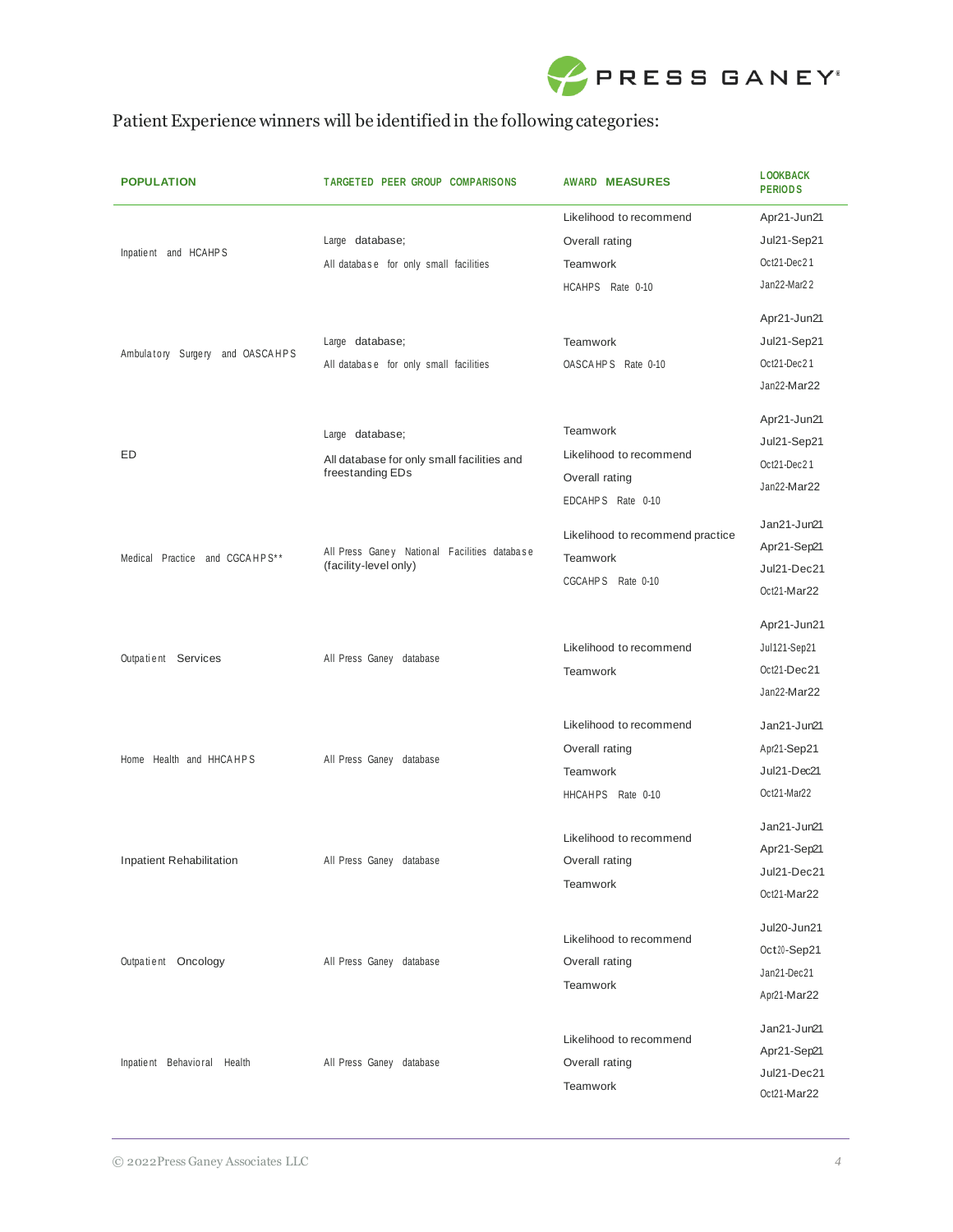

# Patient Experience winners will be identified in the following categories:

| <b>POPULATION</b>               | TARGETED PEER GROUP COMPARISONS                                       | <b>AWARD MEASURES</b>            | <b>LOOKBACK</b><br><b>PERIODS</b> |
|---------------------------------|-----------------------------------------------------------------------|----------------------------------|-----------------------------------|
|                                 |                                                                       | Likelihood to recommend          | Apr21-Jun21                       |
| Inpatient and HCAHPS            | Large database;                                                       | Overall rating                   | Jul21-Sep21                       |
|                                 | All database for only small facilities                                | <b>Teamwork</b>                  | Oct21-Dec21                       |
|                                 |                                                                       | HCAHPS Rate 0-10                 | Jan22-Mar22                       |
|                                 |                                                                       |                                  | Apr21-Jun21                       |
|                                 | Large database;                                                       | <b>Teamwork</b>                  | Jul21-Sep21                       |
| Ambulatory Surgery and OASCAHPS | All database for only small facilities                                | OASCAHPS Rate 0-10               | Oct21-Dec21                       |
|                                 |                                                                       |                                  | Jan22-Mar22                       |
|                                 |                                                                       |                                  |                                   |
|                                 | Large database;                                                       | Teamwork                         | Apr21-Jun21                       |
| ED                              |                                                                       | Likelihood to recommend          | Jul21-Sep21                       |
|                                 | All database for only small facilities and<br>freestanding EDs        | Overall rating                   | Oct21-Dec21                       |
|                                 |                                                                       | EDCAHPS Rate 0-10                | Jan22-Mar22                       |
|                                 |                                                                       |                                  | Jan21-Jun21                       |
|                                 |                                                                       | Likelihood to recommend practice | Apr21-Sep21                       |
| Medical Practice and CGCAHPS**  | All Press Ganey National Facilities database<br>(facility-level only) | <b>Teamwork</b>                  | Jul21-Dec21                       |
|                                 |                                                                       | CGCAHPS Rate 0-10                | Oct21-Mar22                       |
|                                 |                                                                       |                                  |                                   |
|                                 |                                                                       |                                  | Apr21-Jun21                       |
|                                 | All Press Ganey database                                              | Likelihood to recommend          | Jul121-Sep21                      |
| Outpatient Services             |                                                                       | Teamwork                         | Oct21-Dec21                       |
|                                 |                                                                       |                                  | Jan22-Mar22                       |
|                                 |                                                                       | Likelihood to recommend          | Jan21-Jun21                       |
|                                 | All Press Ganey database                                              | Overall rating                   |                                   |
| Home Health and HHCAHPS         |                                                                       |                                  | Apr21-Sep21<br>Jul21-Dec21        |
|                                 |                                                                       | <b>Teamwork</b>                  |                                   |
|                                 |                                                                       | HHCAHPS Rate 0-10                | Oct21-Mar22                       |
|                                 | All Press Ganey database                                              | Likelihood to recommend          | Jan21-Jun21                       |
|                                 |                                                                       |                                  | Apr21-Sep21                       |
| Inpatient Rehabilitation        |                                                                       | Overall rating                   | Jul21-Dec21                       |
|                                 |                                                                       | Teamwork                         | Oct21-Mar22                       |
|                                 |                                                                       |                                  | Jul20-Jun21                       |
|                                 |                                                                       | Likelihood to recommend          | Oct20-Sep21                       |
| Outpatient Oncology             | All Press Ganey database                                              | Overall rating                   | Jan21-Dec21                       |
|                                 |                                                                       | Teamwork                         | Apr21-Mar22                       |
|                                 |                                                                       |                                  |                                   |
|                                 |                                                                       | Likelihood to recommend          | Jan21-Jun21                       |
| Inpatient Behavioral Health     | All Press Ganey database                                              | Overall rating                   | Apr21-Sep21                       |
|                                 |                                                                       |                                  | Jul21-Dec21                       |
|                                 |                                                                       | Teamwork                         | Oct21-Mar22                       |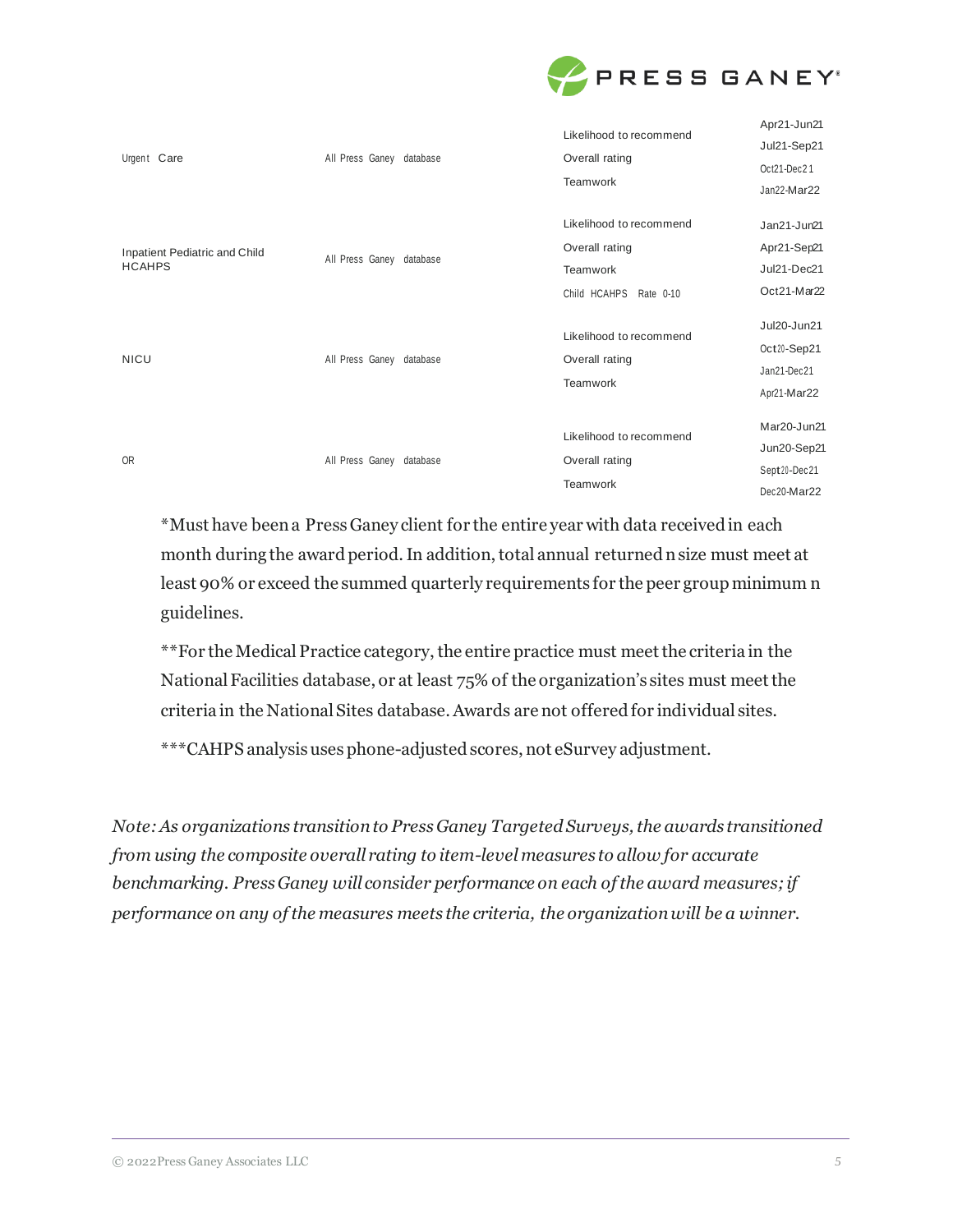

| Urgent Care                                    | All Press Ganey database | Likelihood to recommend<br>Overall rating<br>Teamwork                           | Apr21-Jun21<br>Jul21-Sep21<br>Oct21-Dec21<br>Jan22-Mar22  |
|------------------------------------------------|--------------------------|---------------------------------------------------------------------------------|-----------------------------------------------------------|
| Inpatient Pediatric and Child<br><b>HCAHPS</b> | All Press Ganey database | Likelihood to recommend<br>Overall rating<br>Teamwork<br>Child HCAHPS Rate 0-10 | Jan21-Jun21<br>Apr21-Sep21<br>Jul21-Dec21<br>Oct21-Mar22  |
| <b>NICU</b>                                    | All Press Ganey database | Likelihood to recommend<br>Overall rating<br>Teamwork                           | Jul20-Jun21<br>Oct20-Sep21<br>Jan21-Dec21<br>Apr21-Mar22  |
| <b>OR</b>                                      | All Press Ganey database | Likelihood to recommend<br>Overall rating<br>Teamwork                           | Mar20-Jun21<br>Jun20-Sep21<br>Sept20-Dec21<br>Dec20-Mar22 |

\*Must have been a Press Ganey client for the entire year with data received in each month during the award period. In addition, total annual returned n size must meet at least 90% or exceed the summed quarterly requirements for the peer group minimum n guidelines.

\*\*For the MedicalPractice category,the entire practice must meetthe criteria in the National Facilities database, or at least 75% of the organization's sites must meet the criteria in the National Sites database. Awards are not offered for individual sites.

\*\*\*CAHPS analysis uses phone-adjusted scores, not eSurvey adjustment.

*Note:As organizations transitionto PressGaney Targeted Surveys,the awards transitioned from using the composite overall rating to item-level measures to allow for accurate benchmarking. Press Ganey will consider performance on each of the award measures; if performance on any of the measures meets the criteria, the organization will be a winner.*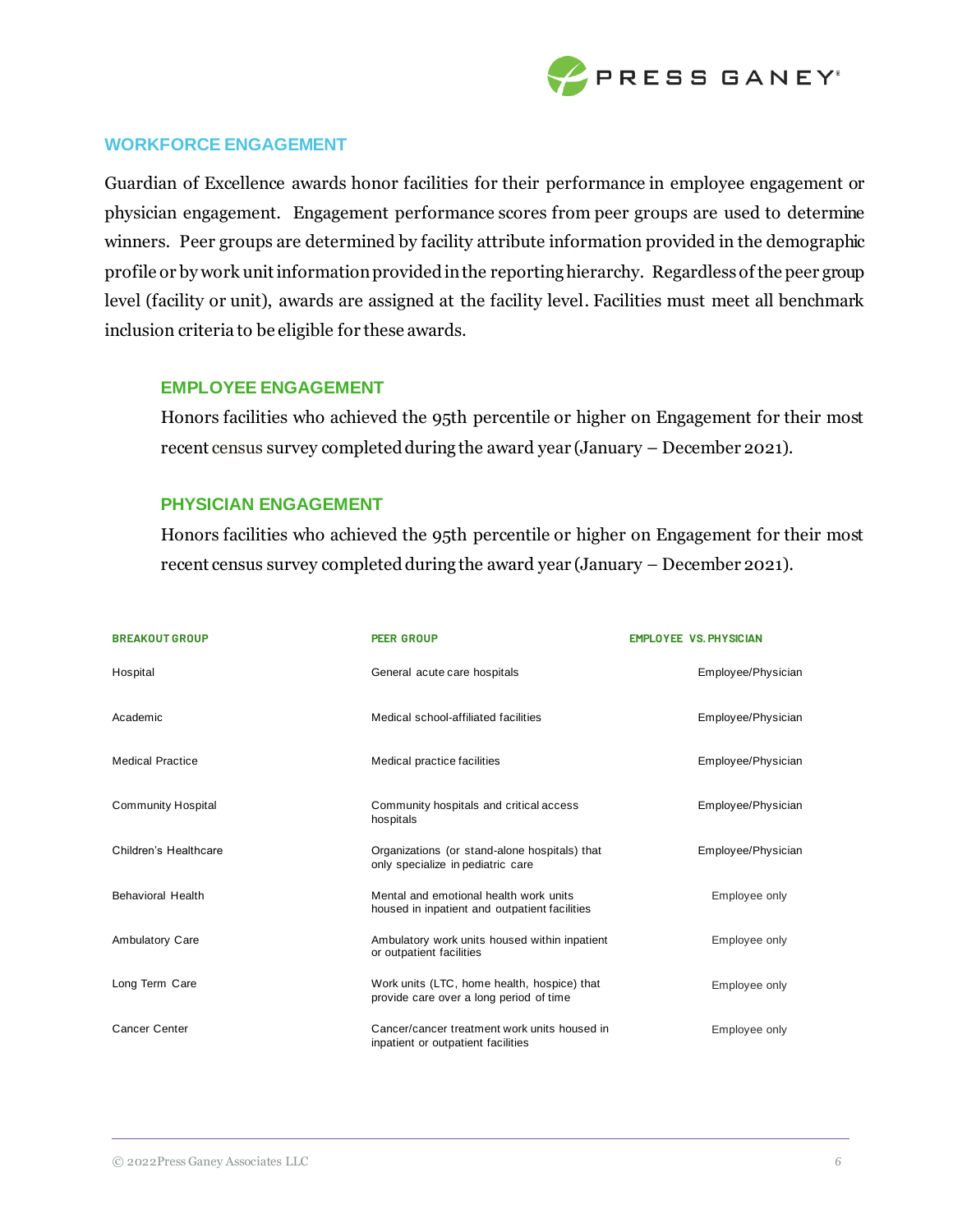

### **WORKFORCE ENGAGEMENT**

Guardian of Excellence awards honor facilities for their performance in employee engagement or physician engagement. Engagement performance scores from peer groups are used to determine winners. Peer groups are determined by facility attribute information provided in the demographic profile or by work unit information provided in the reporting hierarchy. Regardless of the peer group level (facility or unit), awards are assigned at the facility level. Facilities must meet all benchmark inclusion criteria to be eligible for these awards.

#### **EMPLOYEE ENGAGEMENT**

Honors facilities who achieved the 95th percentile or higher on Engagement for their most recent census survey completed during the award year (January – December 2021).

#### **PHYSICIAN ENGAGEMENT**

Honors facilities who achieved the 95th percentile or higher on Engagement for their most recent census survey completed during the award year (January – December 2021).

| <b>BREAKOUT GROUP</b>     | <b>PEER GROUP</b>                                                                       | <b>EMPLOYEE VS. PHYSICIAN</b> |
|---------------------------|-----------------------------------------------------------------------------------------|-------------------------------|
| Hospital                  | General acute care hospitals                                                            | Employee/Physician            |
| Academic                  | Medical school-affiliated facilities                                                    | Employee/Physician            |
| <b>Medical Practice</b>   | Medical practice facilities                                                             | Employee/Physician            |
| <b>Community Hospital</b> | Community hospitals and critical access<br>hospitals                                    | Employee/Physician            |
| Children's Healthcare     | Organizations (or stand-alone hospitals) that<br>only specialize in pediatric care      | Employee/Physician            |
| <b>Behavioral Health</b>  | Mental and emotional health work units<br>housed in inpatient and outpatient facilities | Employee only                 |
| <b>Ambulatory Care</b>    | Ambulatory work units housed within inpatient<br>or outpatient facilities               | Employee only                 |
| Long Term Care            | Work units (LTC, home health, hospice) that<br>provide care over a long period of time  | Employee only                 |
| Cancer Center             | Cancer/cancer treatment work units housed in<br>inpatient or outpatient facilities      | Employee only                 |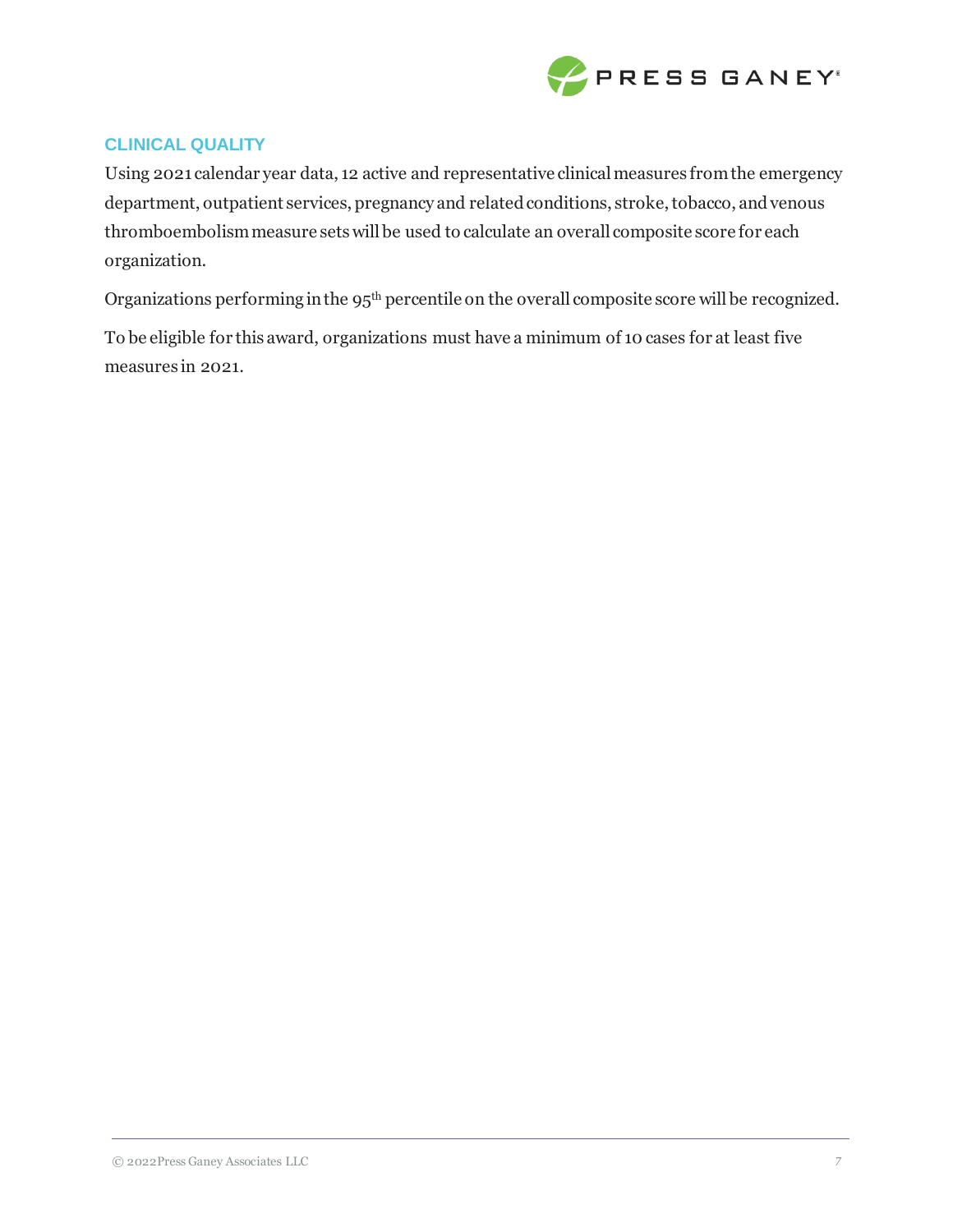

# **CLINICAL QUALITY**

Using 2021 calendar year data, 12 active and representative clinical measures from the emergency department, outpatient services, pregnancy and related conditions, stroke, tobacco, and venous thromboembolism measure sets will be used to calculate an overall composite score for each organization.

Organizations performing in the 95<sup>th</sup> percentile on the overall composite score will be recognized.

To be eligible for this award, organizations must have a minimum of 10 cases for at least five measures in 2021.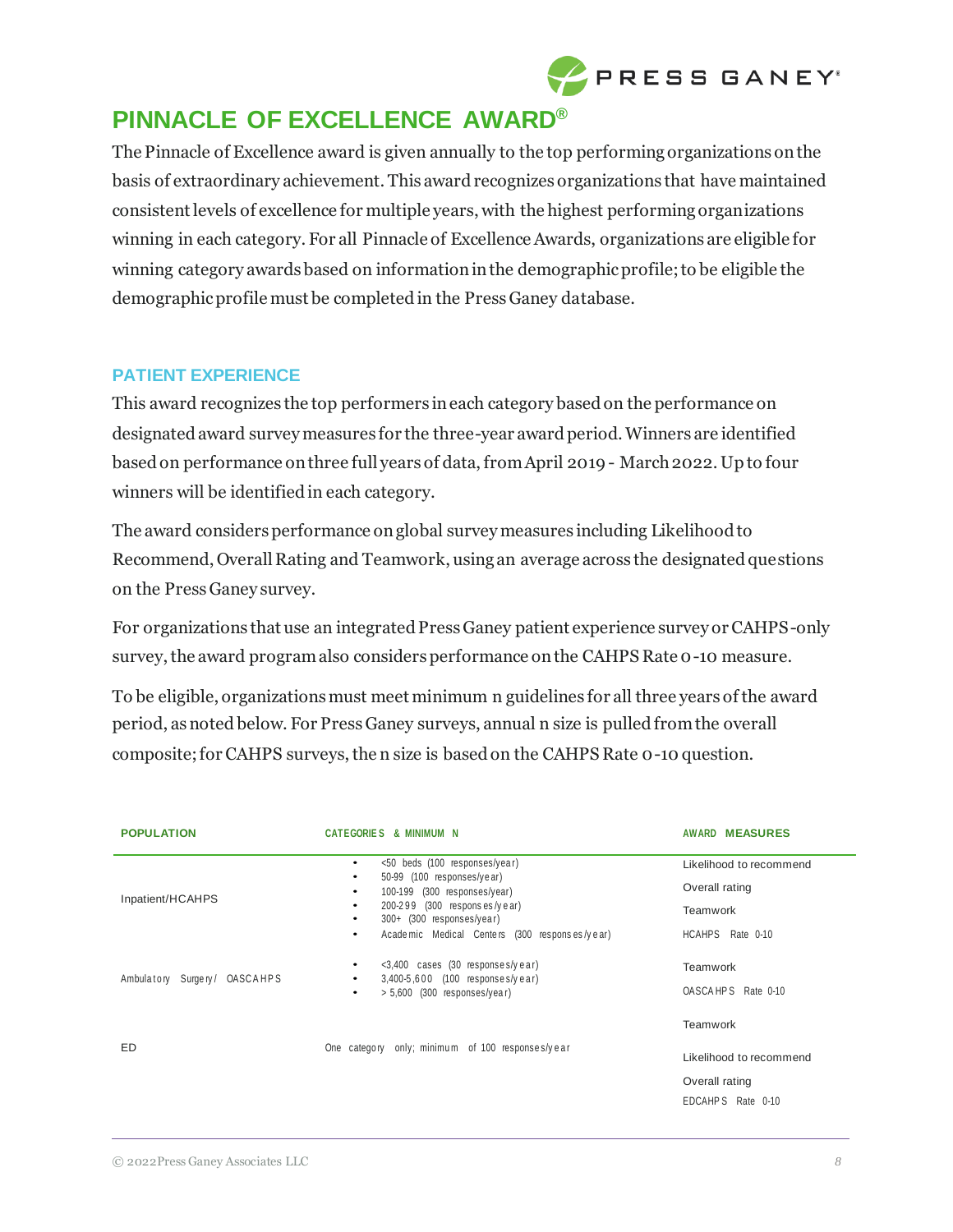

# **PINNACLE OF EXCELLENCE AWARD®**

The Pinnacle of Excellence award is given annually to the top performing organizations on the basis of extraordinary achievement. This award recognizes organizations that have maintained consistent levels of excellence for multiple years, with the highest performing organizations winning in each category. For all Pinnacle of Excellence Awards, organizations are eligible for winning category awards based on information in the demographic profile; to be eligible the demographic profile must be completed in the Press Ganey database.

# **PATIENT EXPERIENCE**

This award recognizes the top performers in each category based on the performance on designated award survey measures for the three-year award period. Winners are identified based on performance on three full years of data, from April 2019 - March 2022. Up to four winners will be identified in each category.

The award considers performance on global survey measures including Likelihood to Recommend, Overall Rating and Teamwork, using an average across the designated questions on the Press Ganey survey.

For organizations that use an integrated Press Ganey patient experience survey or CAHPS-only survey, the award program also considers performance on the CAHPS Rate 0-10 measure.

To be eligible, organizations must meet minimum n guidelines for all three years of the award period, asnoted below. For PressGaney surveys, annual n size is pulled from the overall composite; for CAHPS surveys, the n size is based on the CAHPS Rate 0-10 question.

| <b>POPULATION</b>            | <b>CATEGORIES &amp; MINIMUM N</b>                                                                                                                                                                                                               | <b>AWARD MEASURES</b>                                                             |
|------------------------------|-------------------------------------------------------------------------------------------------------------------------------------------------------------------------------------------------------------------------------------------------|-----------------------------------------------------------------------------------|
| Inpatient/HCAHPS             | <50 beds (100 responses/year)<br>$\bullet$<br>50-99 (100 responses/year)<br>٠<br>100-199 (300 responses/year)<br>٠<br>200-299 (300 responses/year)<br>٠<br>300+ (300 responses/year)<br>٠<br>Academic Medical Centers (300 responses/year)<br>٠ | Likelihood to recommend<br>Overall rating<br>Teamwork<br>HCAHPS Rate 0-10         |
| Ambulatory Surgery/ OASCAHPS | $\langle 3,400 \rangle$ cases (30 responses/year)<br>$\bullet$<br>3,400-5,600 (100 responses/year)<br>$\bullet$<br>$> 5,600$ (300 responses/year)<br>٠                                                                                          | <b>Teamwork</b><br>OASCAHPS Rate 0-10                                             |
| ED                           | One category only; minimum of 100 responses/year                                                                                                                                                                                                | <b>Teamwork</b><br>Likelihood to recommend<br>Overall rating<br>EDCAHPS Rate 0-10 |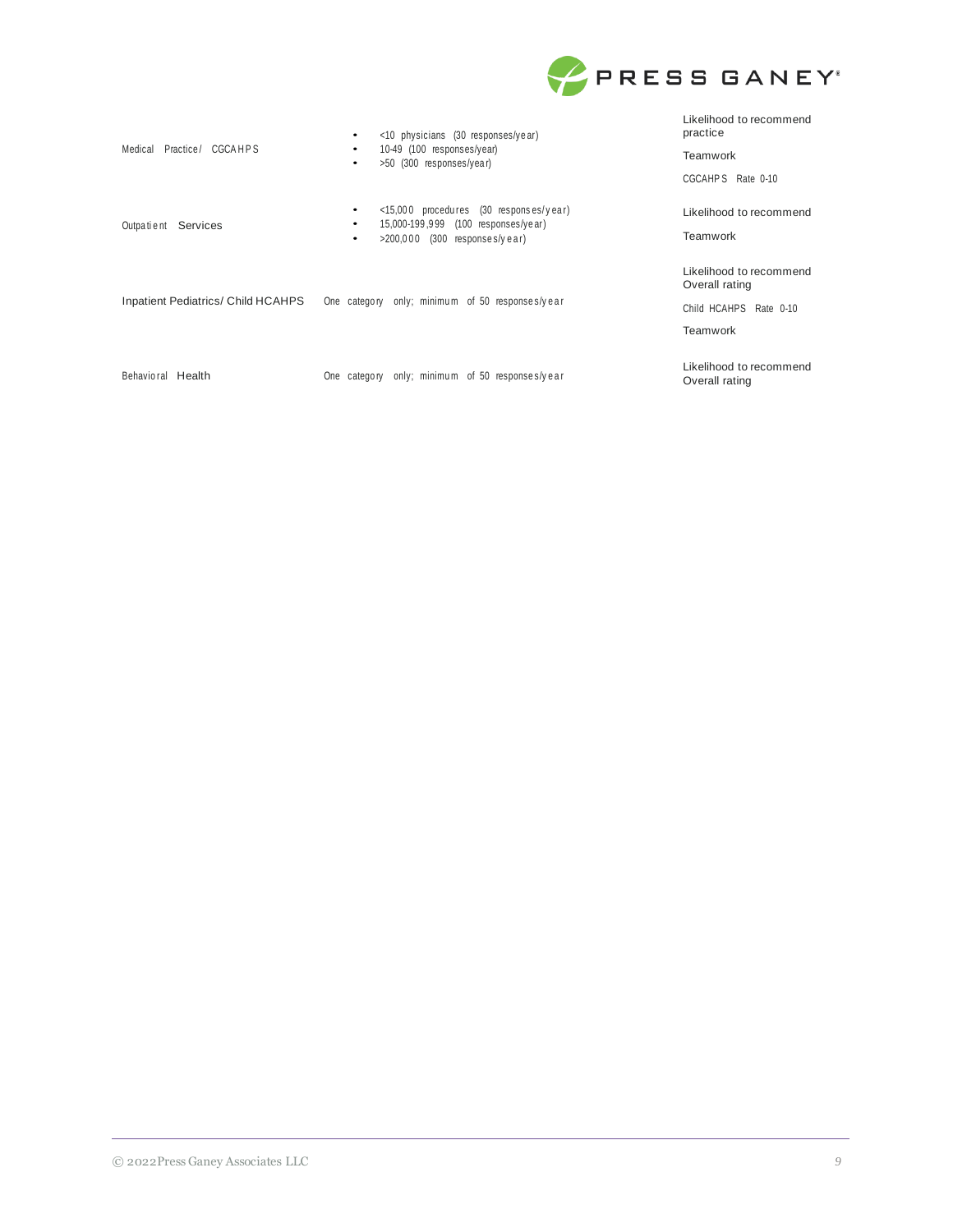

| Practice/ CGCAHPS<br>Medical              | $\langle 10 \rangle$ physicians (30 responses/year)<br>٠                                                         | Likelihood to recommend<br>practice       |
|-------------------------------------------|------------------------------------------------------------------------------------------------------------------|-------------------------------------------|
|                                           | 10-49 (100 responses/year)<br>$\bullet$<br>>50 (300 responses/year)<br>٠                                         | Teamwork                                  |
|                                           |                                                                                                                  | CGCAHPS Rate 0-10                         |
|                                           | $\langle 15,000 \rangle$ procedures (30 responses/year)<br>$\bullet$<br>15,000-199,999 (100 responses/year)<br>٠ | Likelihood to recommend                   |
| Outpatient Services                       | $>200,000$ (300 responses/year)<br>٠                                                                             | Teamwork                                  |
|                                           | One category only; minimum of 50 responses/year                                                                  | Likelihood to recommend<br>Overall rating |
| <b>Inpatient Pediatrics/ Child HCAHPS</b> |                                                                                                                  | Child HCAHPS Rate 0-10                    |
|                                           |                                                                                                                  | Teamwork                                  |
| Behavioral Health                         | One category only; minimum of 50 responses/year                                                                  | Likelihood to recommend<br>Overall rating |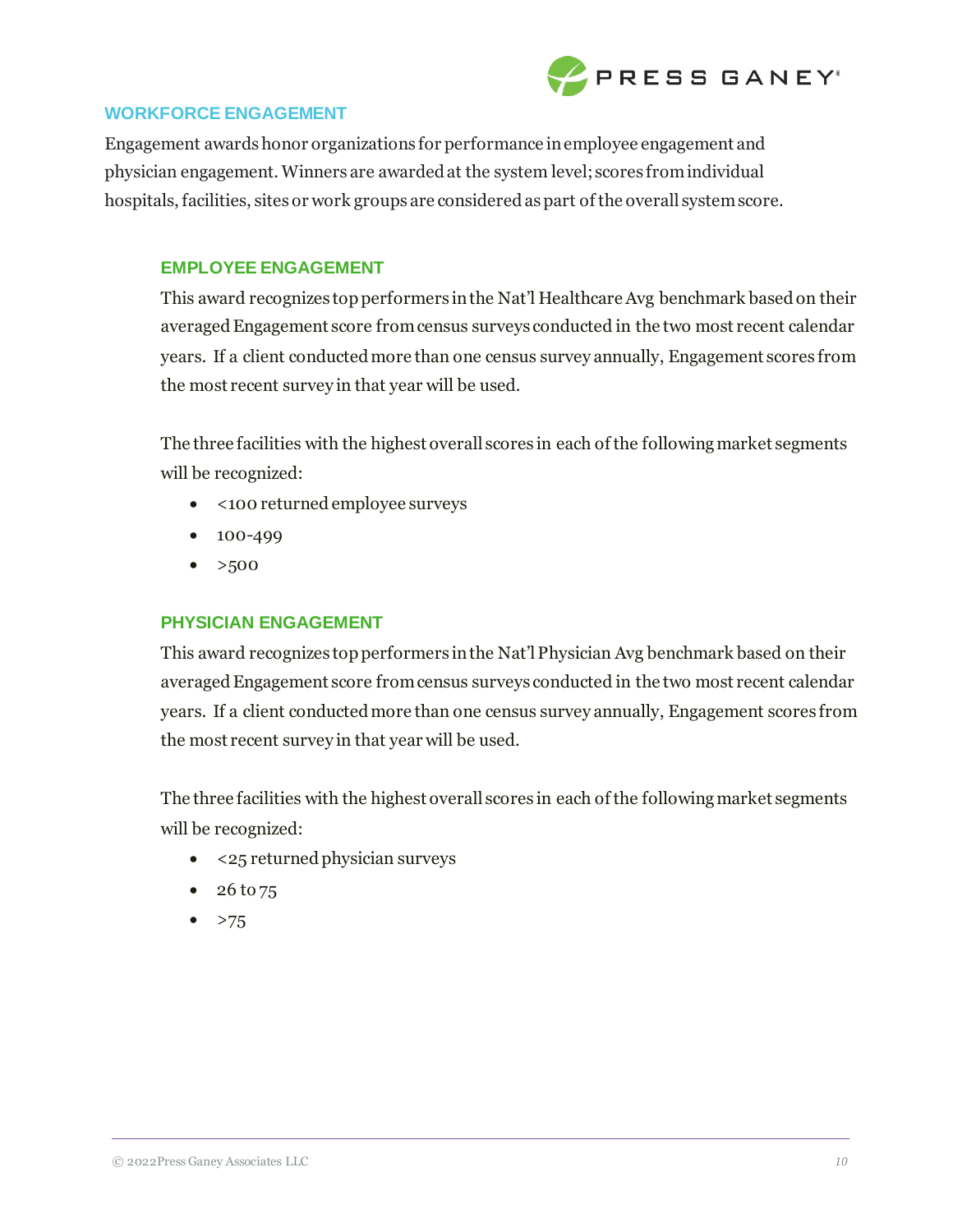

## **WORKFORCE ENGAGEMENT**

Engagement awards honor organizations for performance in employee engagement and physician engagement. Winners are awarded at the system level; scores from individual hospitals, facilities, sites or work groups are considered as part of the overall system score.

## **EMPLOYEE ENGAGEMENT**

This award recognizes top performers in the Nat'l Healthcare Avg benchmark based on their averaged Engagement score from census surveys conducted in the two most recent calendar years. If a client conducted more than one census survey annually, Engagement scores from the most recent survey in that year will be used.

The three facilities with the highest overall scores in each of the following market segments will be recognized:

- <100 returned employee surveys
- 100-499
- $>500$

## **PHYSICIAN ENGAGEMENT**

This award recognizes top performers in the Nat'l Physician Avg benchmark based on their averaged Engagement score from census surveys conducted in the two most recent calendar years. If a client conducted more than one census survey annually, Engagement scores from the most recent survey in that year will be used.

The three facilities with the highest overall scores in each of the following market segments will be recognized:

- <25 returned physician surveys
- 26 to 75
- $>75$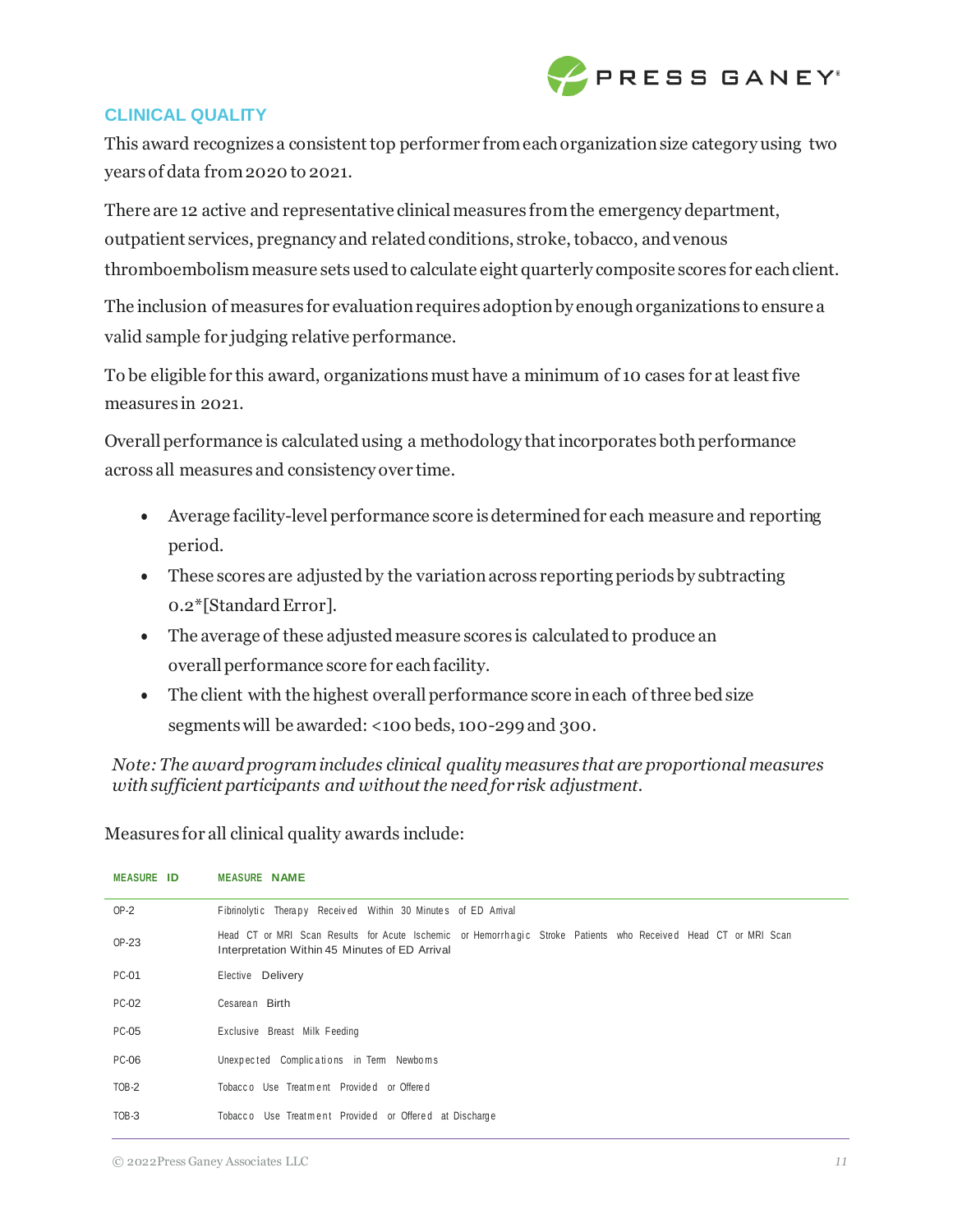

## **CLINICAL QUALITY**

This award recognizes a consistent top performer from each organization size category using two years of data from 2020 to 2021.

There are 12 active and representative clinical measures from the emergency department, outpatient services, pregnancy and related conditions, stroke, tobacco, andvenous thromboembolismmeasure setsusedto calculate eight quarterly composite scores for each client.

The inclusion of measures for evaluation requires adoption by enough organizations to ensure a valid sample for judging relative performance.

To be eligible for this award, organizations must have a minimum of 10 cases for at least five measures in 2021.

Overall performance is calculated using a methodology that incorporates both performance across all measures and consistency over time.

- Average facility-level performance score isdetermined for each measure and reporting period.
- These scores are adjusted by the variation across reporting periods by subtracting 0.2\*[Standard Error].
- The average of these adjusted measure scores is calculated to produce an overall performance score for each facility.
- The client with the highest overall performance score in each of three bed size segments will be awarded: <100 beds, 100-299 and 300.

*Note:The awardprogramincludes clinical quality measures that are proportional measures with sufficient participants and without the need for risk adjustment.*

Measures for all clinical quality awards include:

| <b>MEASURE ID</b> | <b>MEASURE NAME</b>                                                                                                                                              |
|-------------------|------------------------------------------------------------------------------------------------------------------------------------------------------------------|
| $OP-2$            | Fibrinolytic Therapy Received Within 30 Minutes of ED Arrival                                                                                                    |
| OP-23             | Head CT or MRI Scan Results for Acute Ischemic or Hemorrhagic Stroke Patients who Received Head CT or MRI Scan<br>Interpretation Within 45 Minutes of ED Arrival |
| <b>PC-01</b>      | Elective Delivery                                                                                                                                                |
| <b>PC-02</b>      | Cesarean Birth                                                                                                                                                   |
| PC-05             | Exclusive Breast Milk Feeding                                                                                                                                    |
| <b>PC-06</b>      | Unexpected Complications in Term Newboms                                                                                                                         |
| $TOB-2$           | Tobacco Use Treatment Provided or Offered                                                                                                                        |
| TOB-3             | Tobacco Use Treatment Provided or Offered at Discharge                                                                                                           |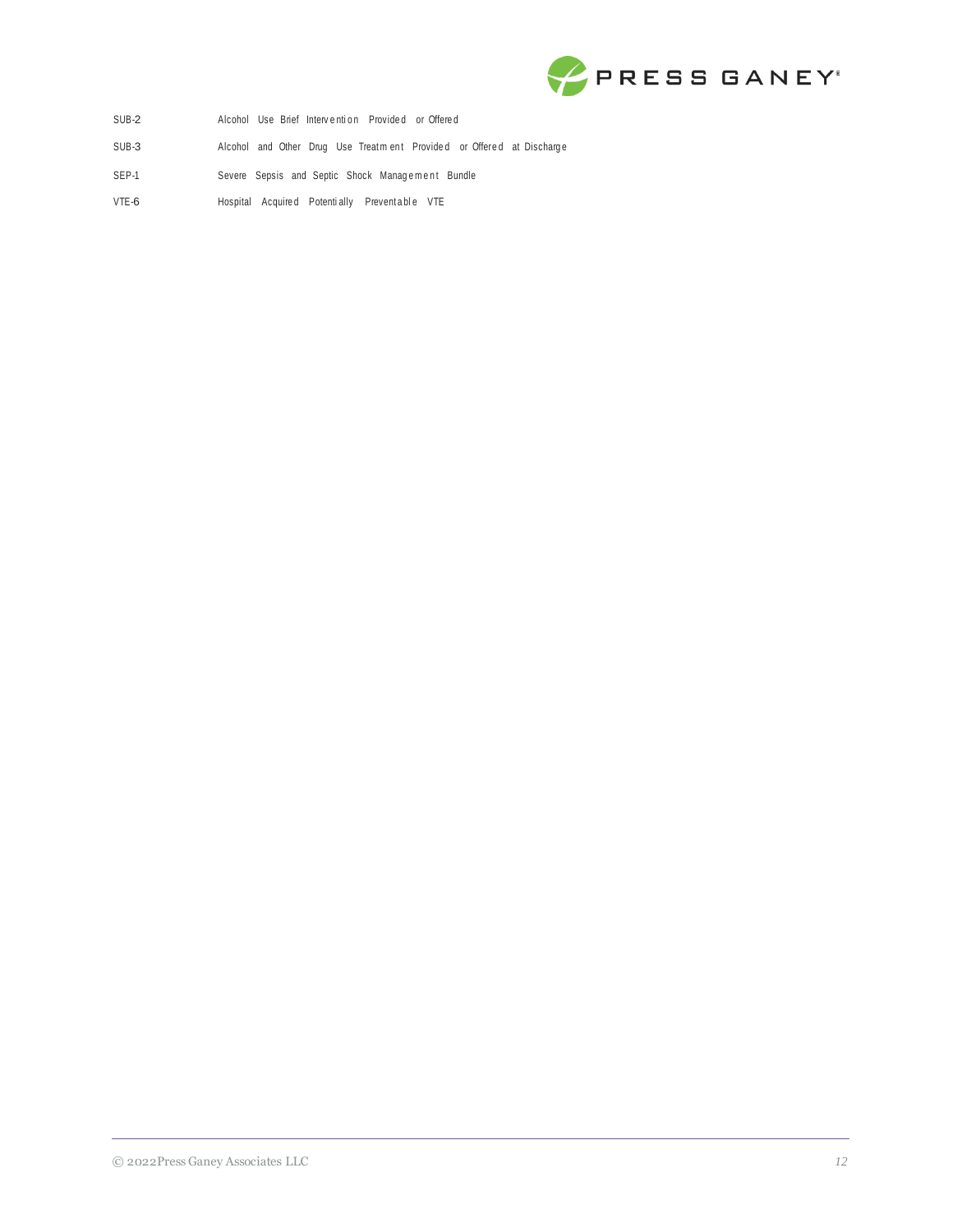

- SUB-2 Alcohol Use Brief Intervention Provided or Offered
- SUB-3 Alcohol and Other Drug Use Treatment Provided or Offered at Discharge
- SEP-1 Severe Sepsis and Septic Shock Management Bundle
- VTE-6 Hospital Acquired Potentially Preventable VTE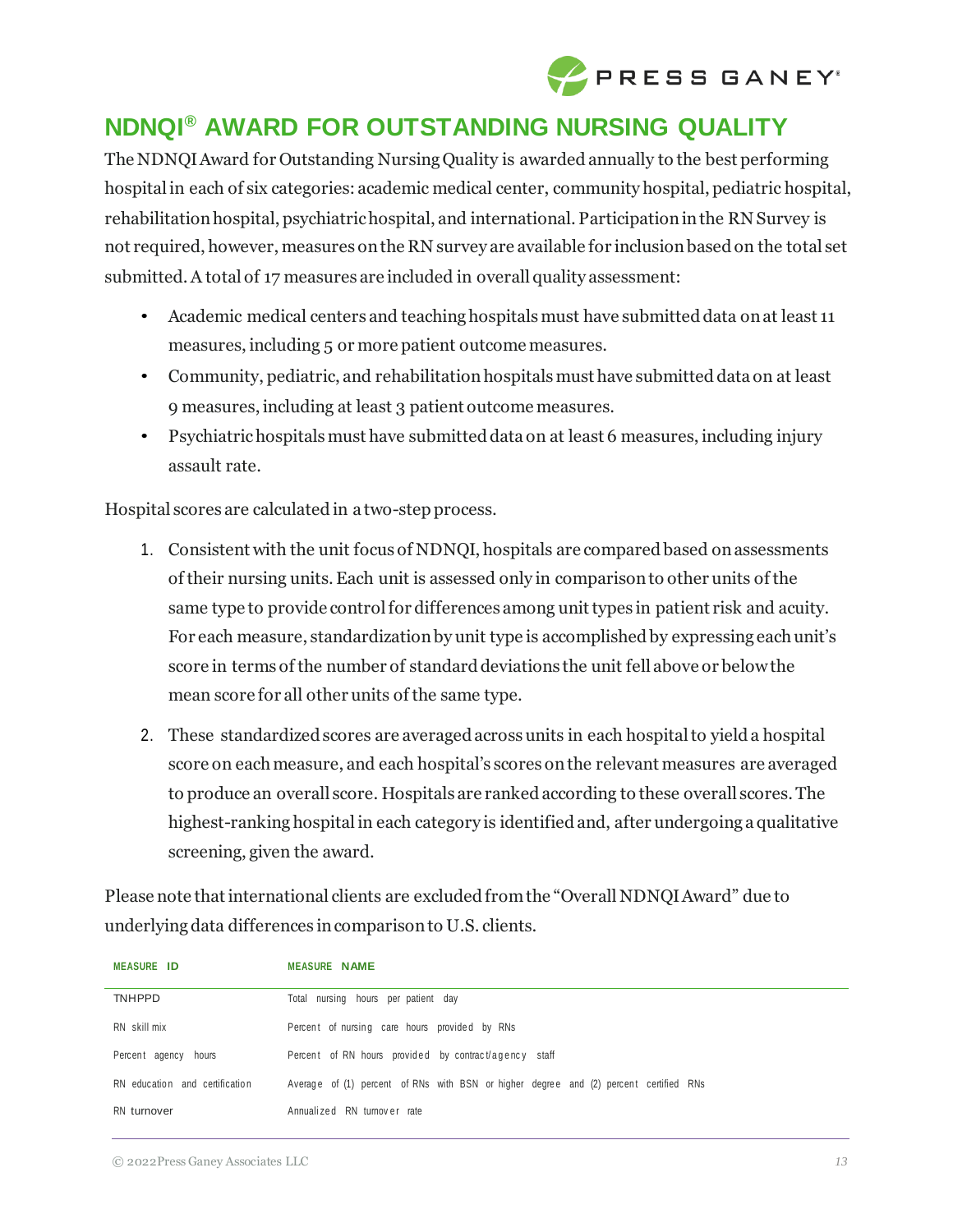

# **NDNQI® AWARD FOR OUTSTANDING NURSING QUALITY**

The NDNQIAward for Outstanding NursingQuality is awarded annually to the best performing hospital in each of six categories: academic medical center, community hospital, pediatric hospital, rehabilitation hospital, psychiatric hospital, and international. Participation in the RN Survey is not required, however, measures onthe RN survey are available for inclusionbased on the total set submitted. A total of 17 measures are included in overall quality assessment:

- Academic medical centers and teaching hospitals must have submitted data on at least 11 measures, including 5 or more patient outcome measures.
- Community, pediatric, and rehabilitation hospitals must have submitted data on at least 9 measures, including at least 3 patient outcome measures.
- Psychiatric hospitals must have submitted data on at least 6 measures, including injury assault rate.

Hospital scores are calculated in a two-step process.

- 1. Consistent with the unit focus of NDNQI, hospitals are compared based on assessments of their nursing units. Each unit is assessed only in comparison to other units of the same type to provide control for differences among unit types in patient risk and acuity. For each measure, standardization by unit type is accomplished by expressing each unit's score in terms of the number of standard deviations the unit fell above or below the mean score for all other units of the same type.
- 2. These standardized scores are averaged across units in each hospital to yield a hospital score on eachmeasure, and each hospital's scores onthe relevant measures are averaged to produce an overall score. Hospitals are ranked according to these overall scores. The highest-ranking hospital in each category is identified and, after undergoing a qualitative screening, given the award.

Please note that international clients are excluded from the "Overall NDNQI Award" due to underlyingdata differences incomparisonto U.S. clients.

| <b>MEASURE ID</b>              | <b>MEASURE NAME</b>                                                                   |
|--------------------------------|---------------------------------------------------------------------------------------|
| <b>TNHPPD</b>                  | Total nursing hours per patient day                                                   |
| RN skill mix                   | Percent of nursing care hours provided by RNs                                         |
| Percent agency hours           | Percent of RN hours provided by contract/agency staff                                 |
| RN education and certification | Average of (1) percent of RNs with BSN or higher degree and (2) percent certified RNs |
| RN turnover                    | Annualized RN turnover rate                                                           |

© 2022 Press Ganey Associates LLC *13*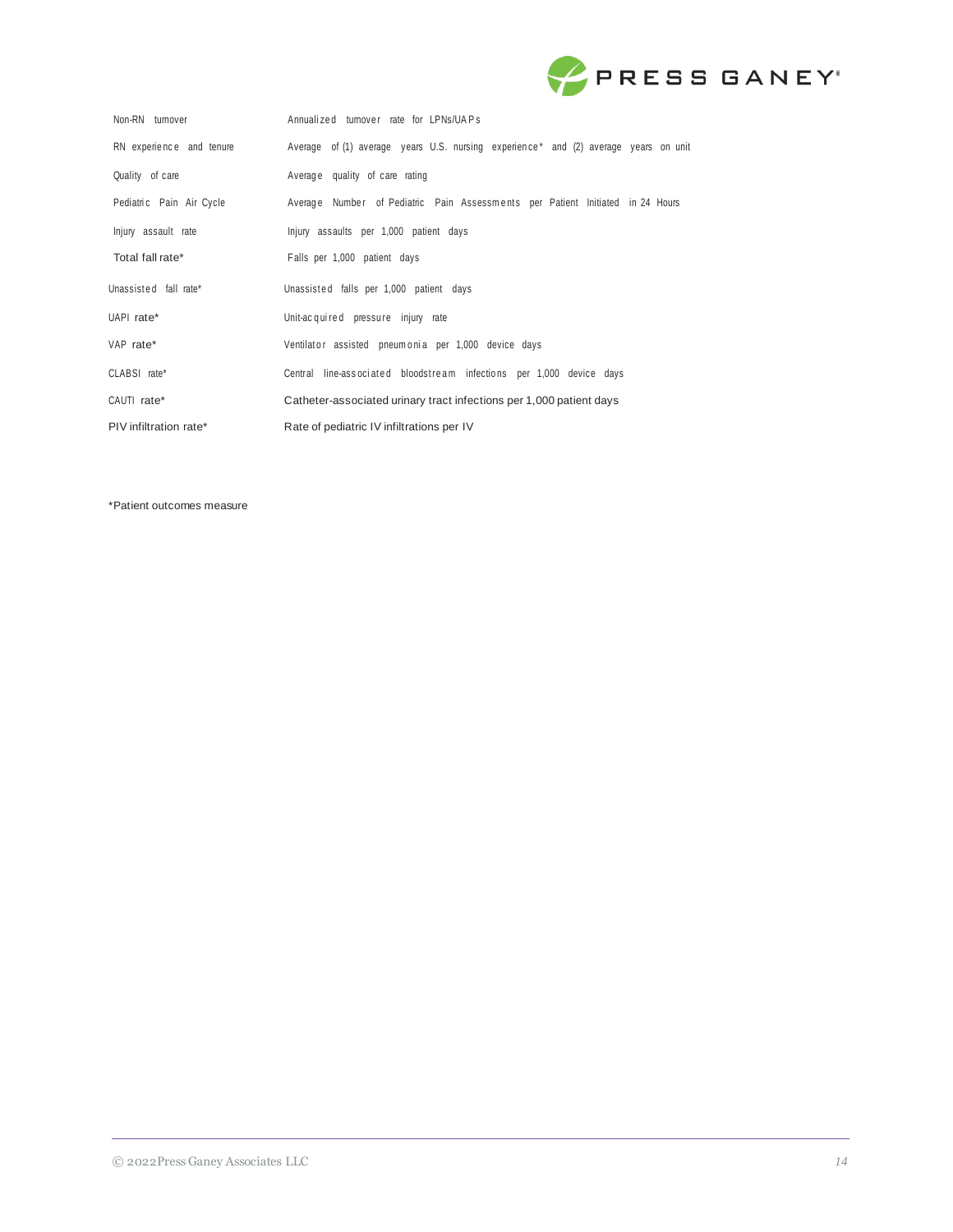

| Non-RN turnover          | Annualized turnover rate for LPNs/UAPs                                              |
|--------------------------|-------------------------------------------------------------------------------------|
| RN experience and tenure | Average of (1) average years U.S. nursing experience* and (2) average years on unit |
| Quality of care          | Average quality of care rating                                                      |
| Pediatric Pain Air Cycle | Average Number of Pediatric Pain Assessments per Patient Initiated in 24 Hours      |
| Injury assault rate      | Injury assaults per 1,000 patient days                                              |
| Total fall rate*         | Falls per 1,000 patient days                                                        |
| Unassisted fall rate*    | Unassisted falls per 1,000 patient days                                             |
| UAPI rate*               | Unit-acquired pressure injury rate                                                  |
| VAP rate*                | Ventilator assisted pneumonia per 1,000 device days                                 |
| CLABSI rate*             | Central line-associated bloodstream infections per 1,000 device days                |
| CAUTI rate*              | Catheter-associated urinary tract infections per 1,000 patient days                 |
| PIV infiltration rate*   | Rate of pediatric IV infiltrations per IV                                           |

\*Patient outcomes measure